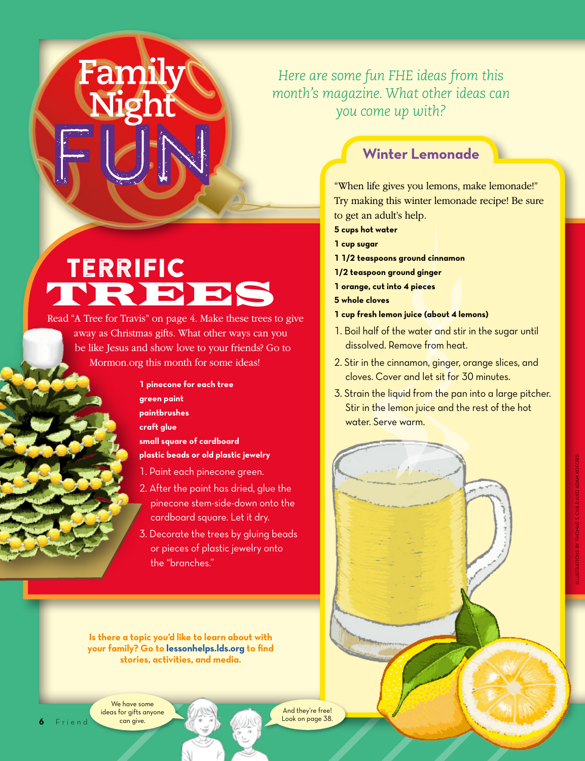## *Here are some fun FHE ideas from this month's magazine. What other ideas can you come up with?*

# **TERRIFIC TREES**

**Family** 

Read "A Tree for Travis" on page 4. Make these trees to give away as Christmas gifts. What other ways can you be like Jesus and show love to your friends? Go to Mormon.org this month for some ideas!

> **1 pinecone for each tree green paint paintbrushes craft glue small square of cardboard plastic beads or old plastic jewelry**

- 1. Paint each pinecone green.
- 2. After the paint has dried, glue the pinecone stem-side-down onto the cardboard square. Let it dry.
- 3. Decorate the trees by gluing beads or pieces of plastic jewelry onto the "branches."

**Is there a topic you'd like to learn about with your family? Go to [lessonhelps.lds.org](http://lessonhelps.lds.org) to find stories, activities, and media.**

We have some ideas for gifts anyone can give.

**6** Friend

And they're free! Look on page 38.

### **Winter Lemonade**

"When life gives you lemons, make lemonade!" Try making this winter lemonade recipe! Be sure to get an adult's help.

- **5 cups hot water**
- **1 cup sugar**
- **1 1/2 teaspoons ground cinnamon**
- **1/2 teaspoon ground ginger**
- **1 orange, cut into 4 pieces**
- **5 whole cloves**
- **1 cup fresh lemon juice (about 4 lemons)**
- 1. Boil half of the water and stir in the sugar until dissolved. Remove from heat.
- 2. Stir in the cinnamon, ginger, orange slices, and cloves. Cover and let sit for 30 minutes.
- 3. Strain the liquid from the pan into a large pitcher. Stir in the lemon juice and the rest of the hot water. Serve warm.